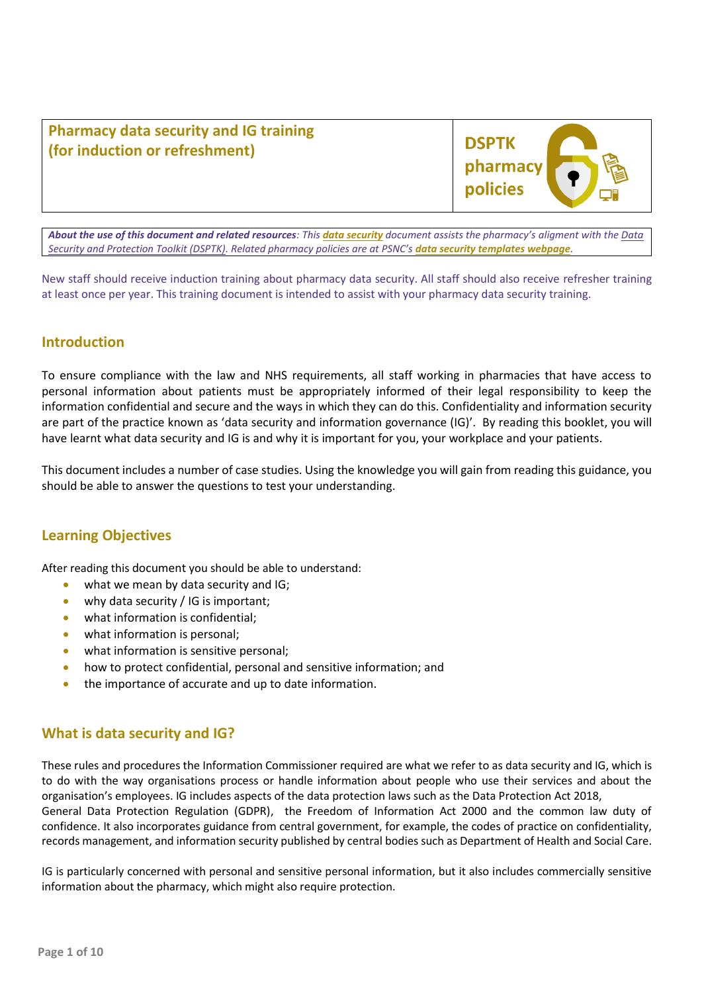**Pharmacy data security and IG training (for induction or refreshment)**



*About the use of this document and related resources: This [data security](http://psnc.org.uk/ds) document assists the pharmacy's aligment with the [Data](http://psnc.org.uk/dsptk)  [Security and Protection Toolkit \(DSPTK\).](http://psnc.org.uk/dsptk) Related pharmacy policies are at PSNC's [data security templates webpage](http://psnc.org.uk/dstemplates).*

New staff should receive induction training about pharmacy data security. All staff should also receive refresher training at least once per year. This training document is intended to assist with your pharmacy data security training.

# **Introduction**

To ensure compliance with the law and NHS requirements, all staff working in pharmacies that have access to personal information about patients must be appropriately informed of their legal responsibility to keep the information confidential and secure and the ways in which they can do this. Confidentiality and information security are part of the practice known as 'data security and information governance (IG)'. By reading this booklet, you will have learnt what data security and IG is and why it is important for you, your workplace and your patients.

This document includes a number of case studies. Using the knowledge you will gain from reading this guidance, you should be able to answer the questions to test your understanding.

# **Learning Objectives**

After reading this document you should be able to understand:

- what we mean by data security and IG;
- why data security / IG is important;
- what information is confidential:
- what information is personal;
- what information is sensitive personal;
- how to protect confidential, personal and sensitive information; and
- the importance of accurate and up to date information.

## **What is data security and IG?**

These rules and procedures the Information Commissioner required are what we refer to as data security and IG, which is to do with the way organisations process or handle information about people who use their services and about the organisation's employees. IG includes aspects of the data protection laws such as the Data Protection Act 2018, General Data Protection Regulation (GDPR), the Freedom of Information Act 2000 and the common law duty of confidence. It also incorporates guidance from central government, for example, the codes of practice on confidentiality, records management, and information security published by central bodies such as Department of Health and Social Care.

IG is particularly concerned with personal and sensitive personal information, but it also includes commercially sensitive information about the pharmacy, which might also require protection.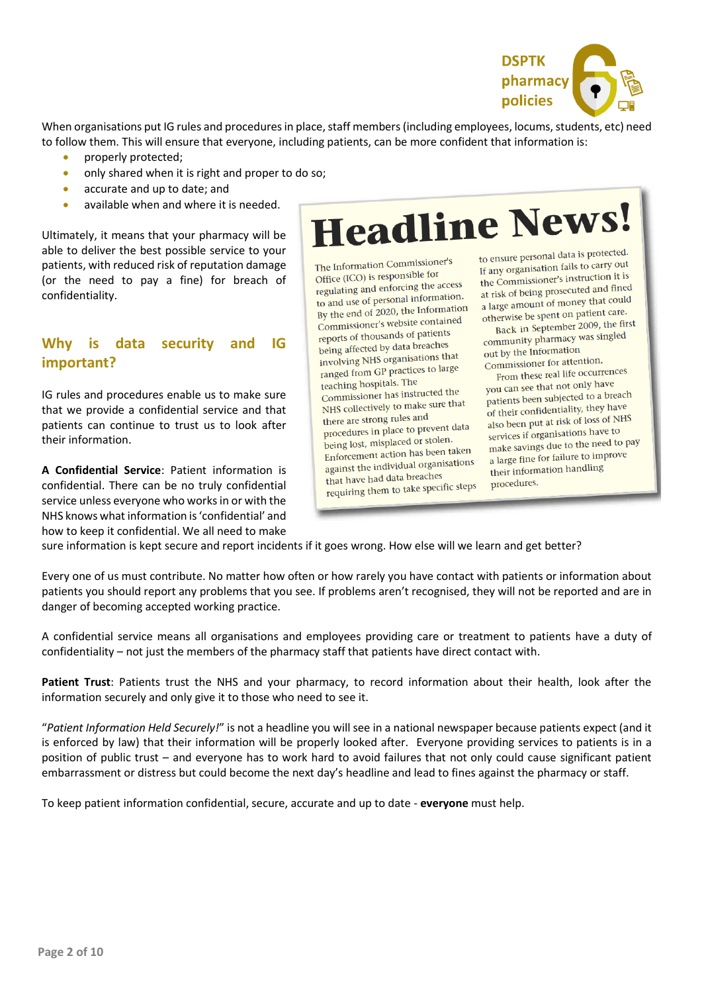

When organisations put IG rules and procedures in place, staff members (including employees, locums, students, etc) need to follow them. This will ensure that everyone, including patients, can be more confident that information is:

- properly protected;
- only shared when it is right and proper to do so;
- accurate and up to date; and
- available when and where it is needed.

Ultimately, it means that your pharmacy will be able to deliver the best possible service to your patients, with reduced risk of reputation damage (or the need to pay a fine) for breach of confidentiality.

# **Why is data security and IG important?**

IG rules and procedures enable us to make sure that we provide a confidential service and that patients can continue to trust us to look after their information.

**A Confidential Service**: Patient information is confidential. There can be no truly confidential service unless everyone who works in or with the NHS knows what information is 'confidential' and how to keep it confidential. We all need to make

# **Headline News!**

The Information Commissioner's Office (ICO) is responsible for Office (ICO) is responsible to:<br>regulating and enforcing the access to and use of personal information. to and use of personal information<br>By the end of 2020, the Information By the end of 2020, the 44-<br>Commissioner's website contained reports of thousands of patients being affected by data breaches involving NHS organisations that ranged from GP practices to large teaching hospitals. The Commissioner has instructed the NHS collectively to make sure that there are strong rules and procedures in place to prevent data being lost, misplaced or stolen. Enforcement action has been taken against the individual organisations that have had data breaches that have nad data breatness<br>requiring them to take specific steps

to ensure personal data is protected. to ensure personal data is processed.<br>If any organisation fails to carry out If any organisation rans to carry and<br>the Commissioner's instruction it is the Commissioner's instruction<br>at risk of being prosecuted and fined at risk of being prosecuted and could<br>a large amount of money that could a large amount of money that -<br>otherwise be spent on patient care.

Back in September 2009, the first<br>Back in September 2009, the first Back in september 2009, and out by the Information Commissioner for attention.

From these real life occurrences you can see that not only have patients been subjected to a breach of their confidentiality, they have also been put at risk of loss of NHS<br>also been put at risk of loss of NHS services if organisations have to make savings due to the need to pay a large fine for failure to improve their information handling procedures.

sure information is kept secure and report incidents if it goes wrong. How else will we learn and get better?

Every one of us must contribute. No matter how often or how rarely you have contact with patients or information about patients you should report any problems that you see. If problems aren't recognised, they will not be reported and are in danger of becoming accepted working practice.

A confidential service means all organisations and employees providing care or treatment to patients have a duty of confidentiality – not just the members of the pharmacy staff that patients have direct contact with.

**Patient Trust**: Patients trust the NHS and your pharmacy, to record information about their health, look after the information securely and only give it to those who need to see it.

"*Patient Information Held Securely!*" is not a headline you will see in a national newspaper because patients expect (and it is enforced by law) that their information will be properly looked after. Everyone providing services to patients is in a position of public trust – and everyone has to work hard to avoid failures that not only could cause significant patient embarrassment or distress but could become the next day's headline and lead to fines against the pharmacy or staff.

To keep patient information confidential, secure, accurate and up to date - **everyone** must help.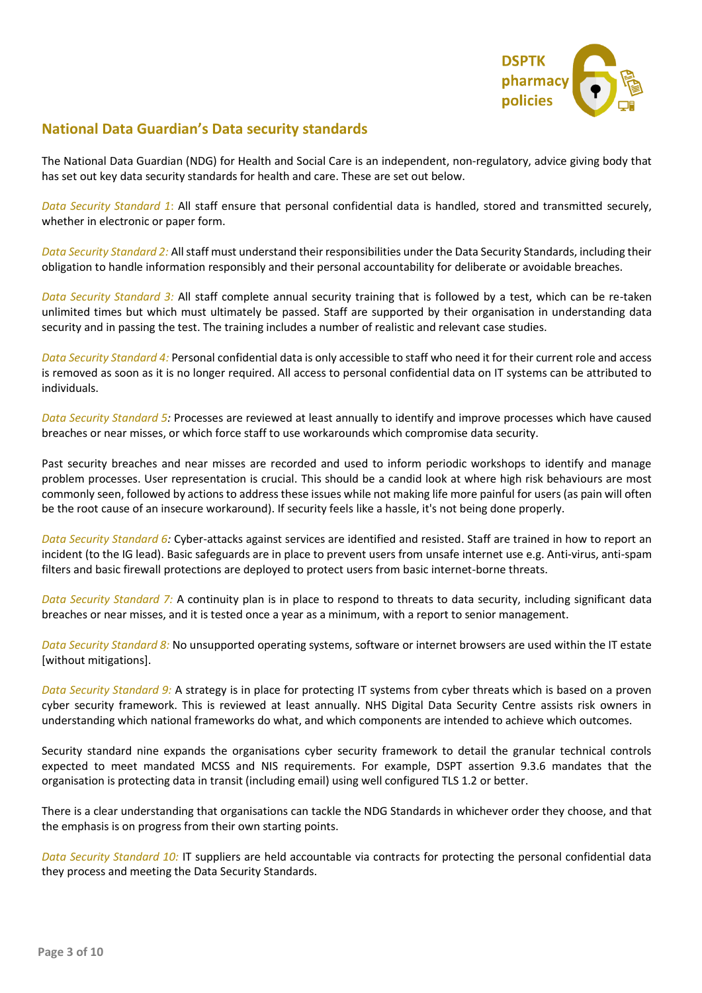

# **National Data Guardian's Data security standards**

The National Data Guardian (NDG) for Health and Social Care is an independent, non-regulatory, advice giving body that has set out key data security standards for health and care. These are set out below.

*Data Security Standard 1*: All staff ensure that personal confidential data is handled, stored and transmitted securely, whether in electronic or paper form.

*Data Security Standard 2:* All staff must understand their responsibilities under the Data Security Standards, including their obligation to handle information responsibly and their personal accountability for deliberate or avoidable breaches.

*Data Security Standard 3:* All staff complete annual security training that is followed by a test, which can be re-taken unlimited times but which must ultimately be passed. Staff are supported by their organisation in understanding data security and in passing the test. The training includes a number of realistic and relevant case studies.

*Data Security Standard 4:* Personal confidential data is only accessible to staff who need it for their current role and access is removed as soon as it is no longer required. All access to personal confidential data on IT systems can be attributed to individuals.

*Data Security Standard 5:* Processes are reviewed at least annually to identify and improve processes which have caused breaches or near misses, or which force staff to use workarounds which compromise data security.

Past security breaches and near misses are recorded and used to inform periodic workshops to identify and manage problem processes. User representation is crucial. This should be a candid look at where high risk behaviours are most commonly seen, followed by actions to address these issues while not making life more painful for users (as pain will often be the root cause of an insecure workaround). If security feels like a hassle, it's not being done properly.

*Data Security Standard 6:* Cyber-attacks against services are identified and resisted. Staff are trained in how to report an incident (to the IG lead). Basic safeguards are in place to prevent users from unsafe internet use e.g. Anti-virus, anti-spam filters and basic firewall protections are deployed to protect users from basic internet-borne threats.

*Data Security Standard 7:* A continuity plan is in place to respond to threats to data security, including significant data breaches or near misses, and it is tested once a year as a minimum, with a report to senior management.

*Data Security Standard 8:* No unsupported operating systems, software or internet browsers are used within the IT estate [without mitigations].

*Data Security Standard 9:* A strategy is in place for protecting IT systems from cyber threats which is based on a proven cyber security framework. This is reviewed at least annually. NHS Digital Data Security Centre assists risk owners in understanding which national frameworks do what, and which components are intended to achieve which outcomes.

Security standard nine expands the organisations cyber security framework to detail the granular technical controls expected to meet mandated MCSS and NIS requirements. For example, DSPT assertion 9.3.6 mandates that the organisation is protecting data in transit (including email) using well configured TLS 1.2 or better.

There is a clear understanding that organisations can tackle the NDG Standards in whichever order they choose, and that the emphasis is on progress from their own starting points.

*Data Security Standard 10:* IT suppliers are held accountable via contracts for protecting the personal confidential data they process and meeting the Data Security Standards.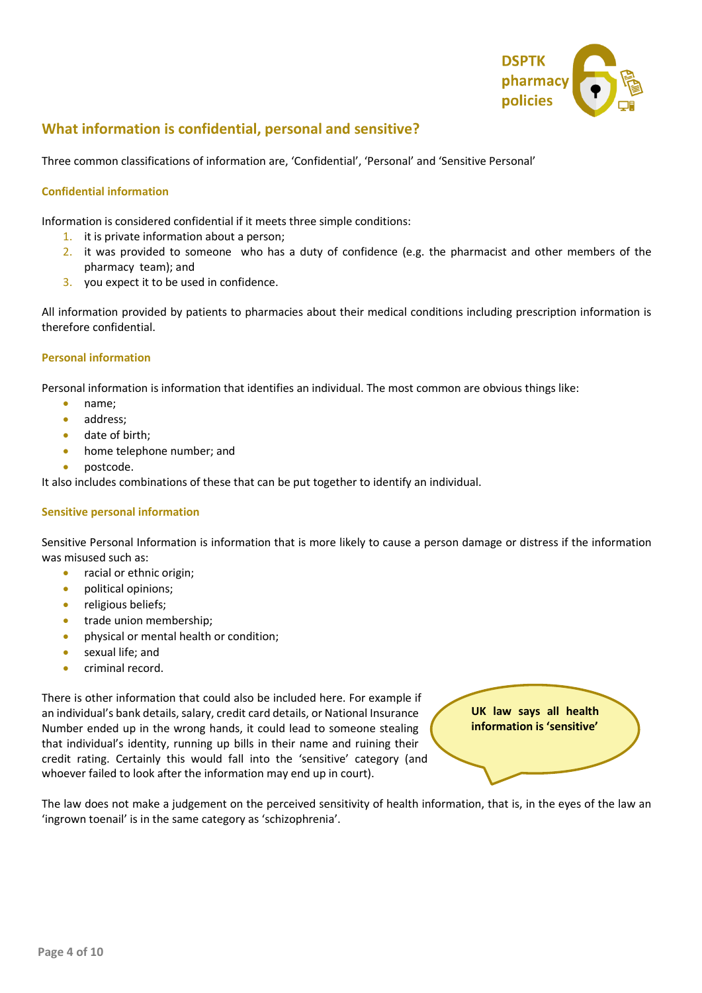

# **What information is confidential, personal and sensitive?**

Three common classifications of information are, 'Confidential', 'Personal' and 'Sensitive Personal'

## **Confidential information**

Information is considered confidential if it meets three simple conditions:

- 1. it is private information about a person;
- 2. it was provided to someone who has a duty of confidence (e.g. the pharmacist and other members of the pharmacy team); and
- 3. you expect it to be used in confidence.

All information provided by patients to pharmacies about their medical conditions including prescription information is therefore confidential.

### **Personal information**

Personal information is information that identifies an individual. The most common are obvious things like:

- name;
- address;
- date of birth:
- home telephone number; and
- postcode.

It also includes combinations of these that can be put together to identify an individual.

#### **Sensitive personal information**

Sensitive Personal Information is information that is more likely to cause a person damage or distress if the information was misused such as:

- racial or ethnic origin;
- political opinions;
- religious beliefs;
- trade union membership;
- physical or mental health or condition;
- sexual life; and
- criminal record.

There is other information that could also be included here. For example if an individual's bank details, salary, credit card details, or National Insurance Number ended up in the wrong hands, it could lead to someone stealing that individual's identity, running up bills in their name and ruining their credit rating. Certainly this would fall into the 'sensitive' category (and whoever failed to look after the information may end up in court).

**UK law says all health information is 'sensitive'**

The law does not make a judgement on the perceived sensitivity of health information, that is, in the eyes of the law an 'ingrown toenail' is in the same category as 'schizophrenia'.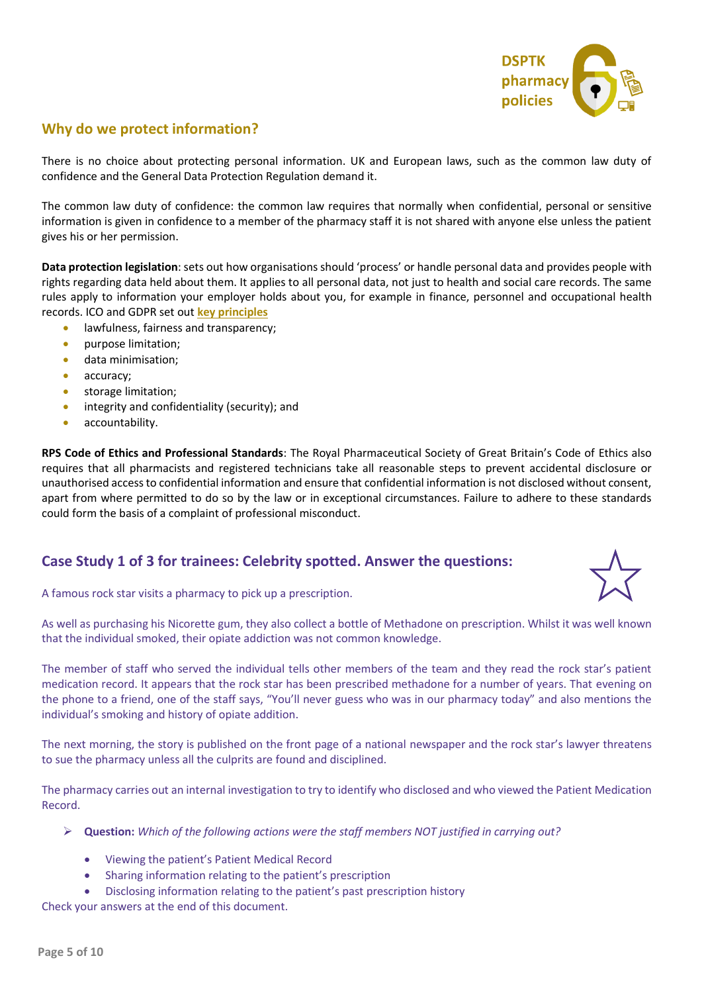

# **Why do we protect information?**

There is no choice about protecting personal information. UK and European laws, such as the common law duty of confidence and the General Data Protection Regulation demand it.

The common law duty of confidence: the common law requires that normally when confidential, personal or sensitive information is given in confidence to a member of the pharmacy staff it is not shared with anyone else unless the patient gives his or her permission.

**Data protection legislation**: sets out how organisations should 'process' or handle personal data and provides people with rights regarding data held about them. It applies to all personal data, not just to health and social care records. The same rules apply to information your employer holds about you, for example in finance, personnel and occupational health records. ICO and GDPR set out **[key principles](https://ico.org.uk/for-organisations/guide-to-data-protection/guide-to-the-general-data-protection-regulation-gdpr/principles/)**

- lawfulness, fairness and transparency;
- purpose limitation;
- data minimisation;
- accuracy;
- storage limitation;
- integrity and confidentiality (security); and
- accountability.

**RPS Code of Ethics and Professional Standards**: The Royal Pharmaceutical Society of Great Britain's Code of Ethics also requires that all pharmacists and registered technicians take all reasonable steps to prevent accidental disclosure or unauthorised access to confidential information and ensure that confidential information is not disclosed without consent, apart from where permitted to do so by the law or in exceptional circumstances. Failure to adhere to these standards could form the basis of a complaint of professional misconduct.

# **Case Study 1 of 3 for trainees: Celebrity spotted. Answer the questions:**



A famous rock star visits a pharmacy to pick up a prescription.

As well as purchasing his Nicorette gum, they also collect a bottle of Methadone on prescription. Whilst it was well known that the individual smoked, their opiate addiction was not common knowledge.

The member of staff who served the individual tells other members of the team and they read the rock star's patient medication record. It appears that the rock star has been prescribed methadone for a number of years. That evening on the phone to a friend, one of the staff says, "You'll never guess who was in our pharmacy today" and also mentions the individual's smoking and history of opiate addition.

The next morning, the story is published on the front page of a national newspaper and the rock star's lawyer threatens to sue the pharmacy unless all the culprits are found and disciplined.

The pharmacy carries out an internal investigation to try to identify who disclosed and who viewed the Patient Medication Record.

- ➢ **Question:** *Which of the following actions were the staff members NOT justified in carrying out?* 
	- Viewing the patient's Patient Medical Record
	- Sharing information relating to the patient's prescription
	- Disclosing information relating to the patient's past prescription history

Check your answers at the end of this document.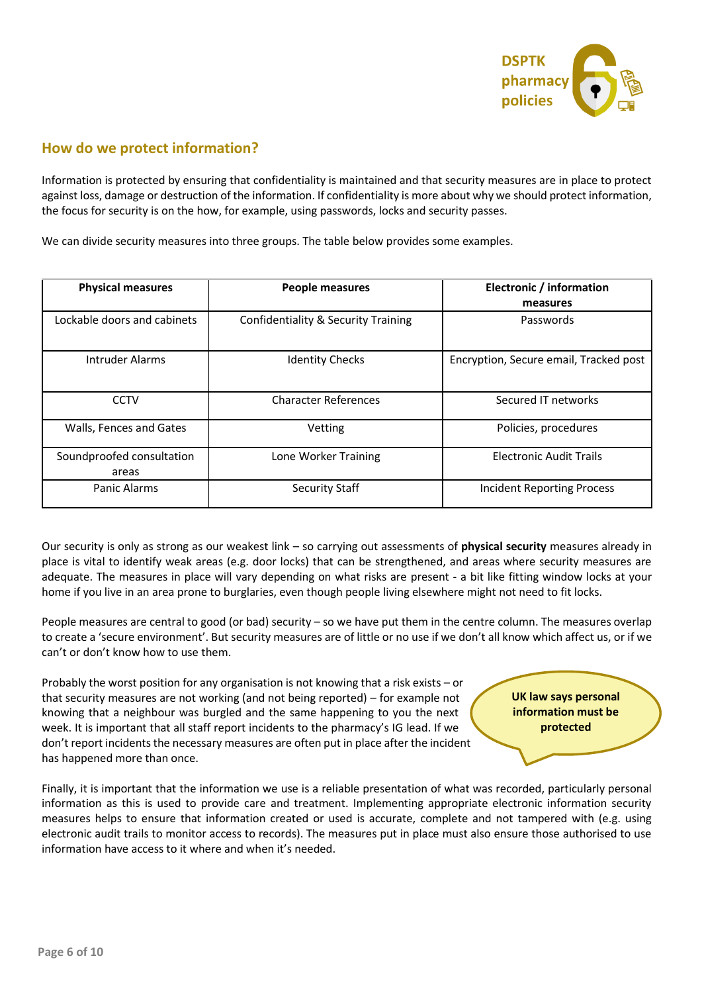

## **How do we protect information?**

Information is protected by ensuring that confidentiality is maintained and that security measures are in place to protect against loss, damage or destruction of the information. If confidentiality is more about why we should protect information, the focus for security is on the how, for example, using passwords, locks and security passes.

We can divide security measures into three groups. The table below provides some examples.

| <b>Physical measures</b>           | People measures                                | Electronic / information<br>measures   |
|------------------------------------|------------------------------------------------|----------------------------------------|
| Lockable doors and cabinets        | <b>Confidentiality &amp; Security Training</b> | Passwords                              |
| Intruder Alarms                    | <b>Identity Checks</b>                         | Encryption, Secure email, Tracked post |
| <b>CCTV</b>                        | <b>Character References</b>                    | Secured IT networks                    |
| Walls, Fences and Gates            | Vetting                                        | Policies, procedures                   |
| Soundproofed consultation<br>areas | Lone Worker Training                           | <b>Electronic Audit Trails</b>         |
| Panic Alarms                       | <b>Security Staff</b>                          | <b>Incident Reporting Process</b>      |

Our security is only as strong as our weakest link – so carrying out assessments of **physical security** measures already in place is vital to identify weak areas (e.g. door locks) that can be strengthened, and areas where security measures are adequate. The measures in place will vary depending on what risks are present - a bit like fitting window locks at your home if you live in an area prone to burglaries, even though people living elsewhere might not need to fit locks.

People measures are central to good (or bad) security – so we have put them in the centre column. The measures overlap to create a 'secure environment'. But security measures are of little or no use if we don't all know which affect us, or if we can't or don't know how to use them.

Probably the worst position for any organisation is not knowing that a risk exists – or that security measures are not working (and not being reported) – for example not knowing that a neighbour was burgled and the same happening to you the next week. It is important that all staff report incidents to the pharmacy's IG lead. If we don't report incidents the necessary measures are often put in place after the incident has happened more than once.

**UK law says personal information must be protected**

Finally, it is important that the information we use is a reliable presentation of what was recorded, particularly personal information as this is used to provide care and treatment. Implementing appropriate electronic information security measures helps to ensure that information created or used is accurate, complete and not tampered with (e.g. using electronic audit trails to monitor access to records). The measures put in place must also ensure those authorised to use information have access to it where and when it's needed.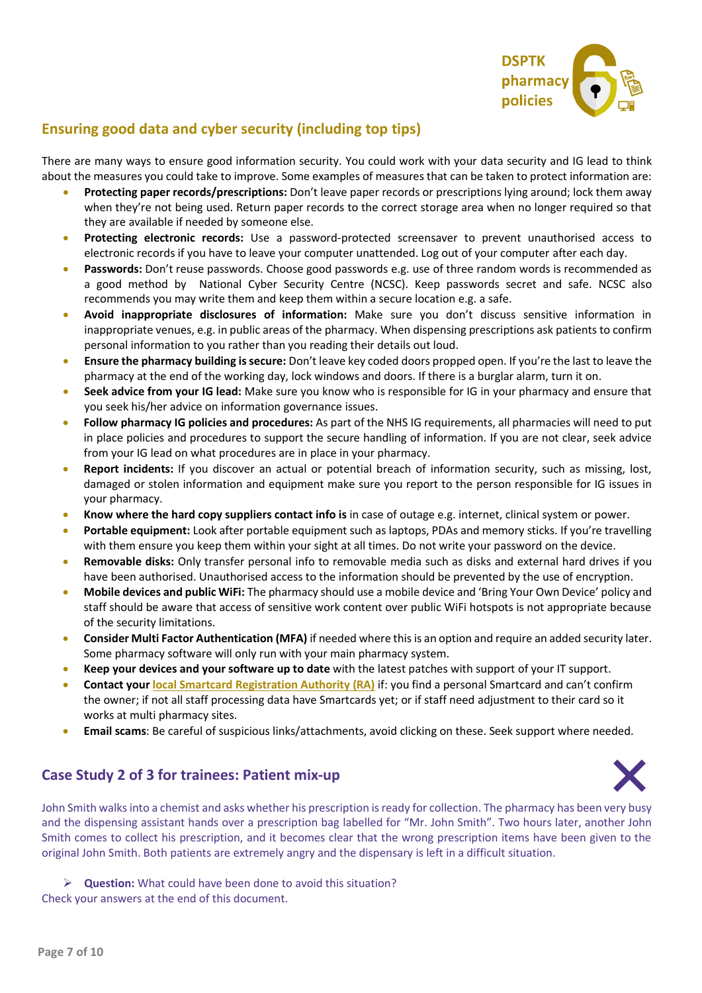

# **Ensuring good data and cyber security (including top tips)**

There are many ways to ensure good information security. You could work with your data security and IG lead to think about the measures you could take to improve. Some examples of measures that can be taken to protect information are:

- **Protecting paper records/prescriptions:** Don't leave paper records or prescriptions lying around; lock them away when they're not being used. Return paper records to the correct storage area when no longer required so that they are available if needed by someone else.
- **Protecting electronic records:** Use a password-protected screensaver to prevent unauthorised access to electronic records if you have to leave your computer unattended. Log out of your computer after each day.
- **Passwords:** Don't reuse passwords. Choose good passwords e.g. use of three random words is recommended as a good method by National Cyber Security Centre (NCSC). Keep passwords secret and safe. NCSC also recommends you may write them and keep them within a secure location e.g. a safe.
- **Avoid inappropriate disclosures of information:** Make sure you don't discuss sensitive information in inappropriate venues, e.g. in public areas of the pharmacy. When dispensing prescriptions ask patients to confirm personal information to you rather than you reading their details out loud.
- **Ensure the pharmacy building is secure:** Don't leave key coded doors propped open. If you're the last to leave the pharmacy at the end of the working day, lock windows and doors. If there is a burglar alarm, turn it on.
- **Seek advice from your IG lead:** Make sure you know who is responsible for IG in your pharmacy and ensure that you seek his/her advice on information governance issues.
- **Follow pharmacy IG policies and procedures:** As part of the NHS IG requirements, all pharmacies will need to put in place policies and procedures to support the secure handling of information. If you are not clear, seek advice from your IG lead on what procedures are in place in your pharmacy.
- **Report incidents:** If you discover an actual or potential breach of information security, such as missing, lost, damaged or stolen information and equipment make sure you report to the person responsible for IG issues in your pharmacy.
- **Know where the hard copy suppliers contact info is** in case of outage e.g. internet, clinical system or power.
- **Portable equipment:** Look after portable equipment such as laptops, PDAs and memory sticks. If you're travelling with them ensure you keep them within your sight at all times. Do not write your password on the device.
- **Removable disks:** Only transfer personal info to removable media such as disks and external hard drives if you have been authorised. Unauthorised access to the information should be prevented by the use of encryption.
- **Mobile devices and public WiFi:** The pharmacy should use a mobile device and 'Bring Your Own Device' policy and staff should be aware that access of sensitive work content over public WiFi hotspots is not appropriate because of the security limitations.
- **Consider Multi Factor Authentication (MFA)** if needed where this is an option and require an added security later. Some pharmacy software will only run with your main pharmacy system.
- **Keep your devices and your software up to date** with the latest patches with support of your IT support.
- **Contact you[r local Smartcard Registration Authority \(RA\)](https://psnc.org.uk/ra)** if: you find a personal Smartcard and can't confirm the owner; if not all staff processing data have Smartcards yet; or if staff need adjustment to their card so it works at multi pharmacy sites.
- **Email scams**: Be careful of suspicious links/attachments, avoid clicking on these. Seek support where needed.

# **Case Study 2 of 3 for trainees: Patient mix-up**



John Smith walks into a chemist and asks whether his prescription is ready for collection. The pharmacy has been very busy and the dispensing assistant hands over a prescription bag labelled for "Mr. John Smith". Two hours later, another John Smith comes to collect his prescription, and it becomes clear that the wrong prescription items have been given to the original John Smith. Both patients are extremely angry and the dispensary is left in a difficult situation.

➢ **Question:** What could have been done to avoid this situation?

Check your answers at the end of this document.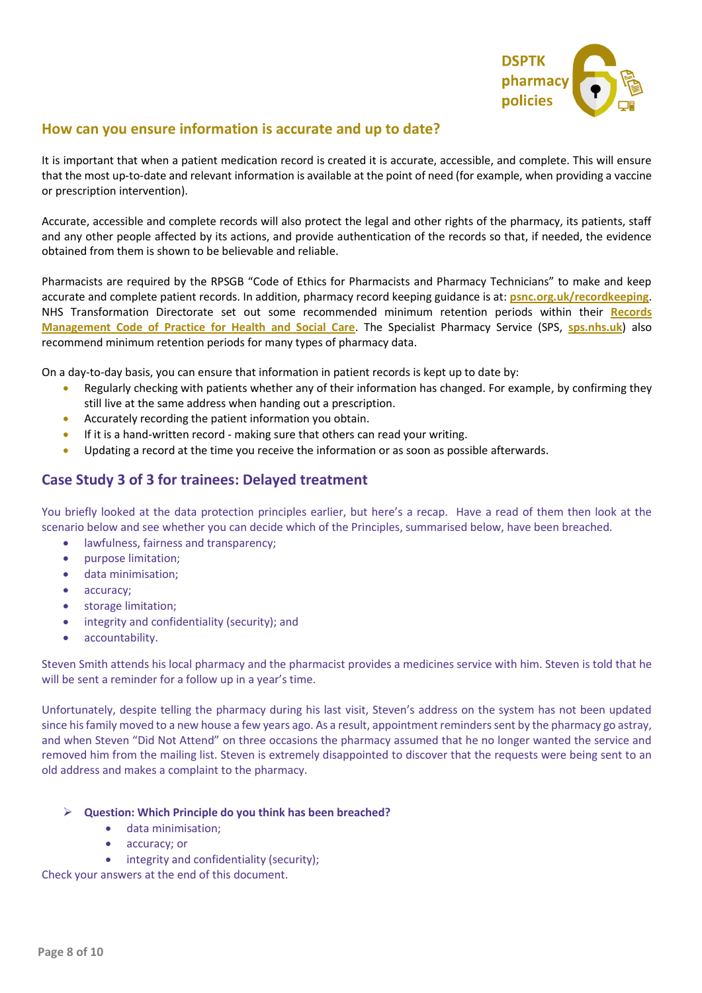

## **How can you ensure information is accurate and up to date?**

It is important that when a patient medication record is created it is accurate, accessible, and complete. This will ensure that the most up-to-date and relevant information is available at the point of need (for example, when providing a vaccine or prescription intervention).

Accurate, accessible and complete records will also protect the legal and other rights of the pharmacy, its patients, staff and any other people affected by its actions, and provide authentication of the records so that, if needed, the evidence obtained from them is shown to be believable and reliable.

Pharmacists are required by the RPSGB "Code of Ethics for Pharmacists and Pharmacy Technicians" to make and keep accurate and complete patient records. In addition, pharmacy record keeping guidance is at: **[psnc.org.uk/recordkeeping](https://psnc.org.uk/recordkeeping)**. NHS Transformation Directorate set out some recommended minimum retention periods within their **[Records](https://www.nhsx.nhs.uk/information-governance/guidance/records-management-code/)  [Management Code of Practice for Health and Social Care](https://www.nhsx.nhs.uk/information-governance/guidance/records-management-code/)**. The Specialist Pharmacy Service (SPS, **[sps.nhs.uk](https://www.sps.nhs.uk/)**) also recommend minimum retention periods for many types of pharmacy data.

On a day-to-day basis, you can ensure that information in patient records is kept up to date by:

- Regularly checking with patients whether any of their information has changed. For example, by confirming they still live at the same address when handing out a prescription.
- Accurately recording the patient information you obtain.
- If it is a hand-written record making sure that others can read your writing.
- Updating a record at the time you receive the information or as soon as possible afterwards.

# **Case Study 3 of 3 for trainees: Delayed treatment**

You briefly looked at the data protection principles earlier, but here's a recap. Have a read of them then look at the scenario below and see whether you can decide which of the Principles, summarised below, have been breached.

- lawfulness, fairness and transparency;
- purpose limitation;
- data minimisation;
- accuracy:
- storage limitation;
- integrity and confidentiality (security); and
- accountability.

Steven Smith attends his local pharmacy and the pharmacist provides a medicines service with him. Steven is told that he will be sent a reminder for a follow up in a year's time.

Unfortunately, despite telling the pharmacy during his last visit, Steven's address on the system has not been updated since his family moved to a new house a few years ago. As a result, appointment reminders sent by the pharmacy go astray, and when Steven "Did Not Attend" on three occasions the pharmacy assumed that he no longer wanted the service and removed him from the mailing list. Steven is extremely disappointed to discover that the requests were being sent to an old address and makes a complaint to the pharmacy.

#### ➢ **Question: Which Principle do you think has been breached?**

- data minimisation;
- accuracy; or
- integrity and confidentiality (security);

Check your answers at the end of this document.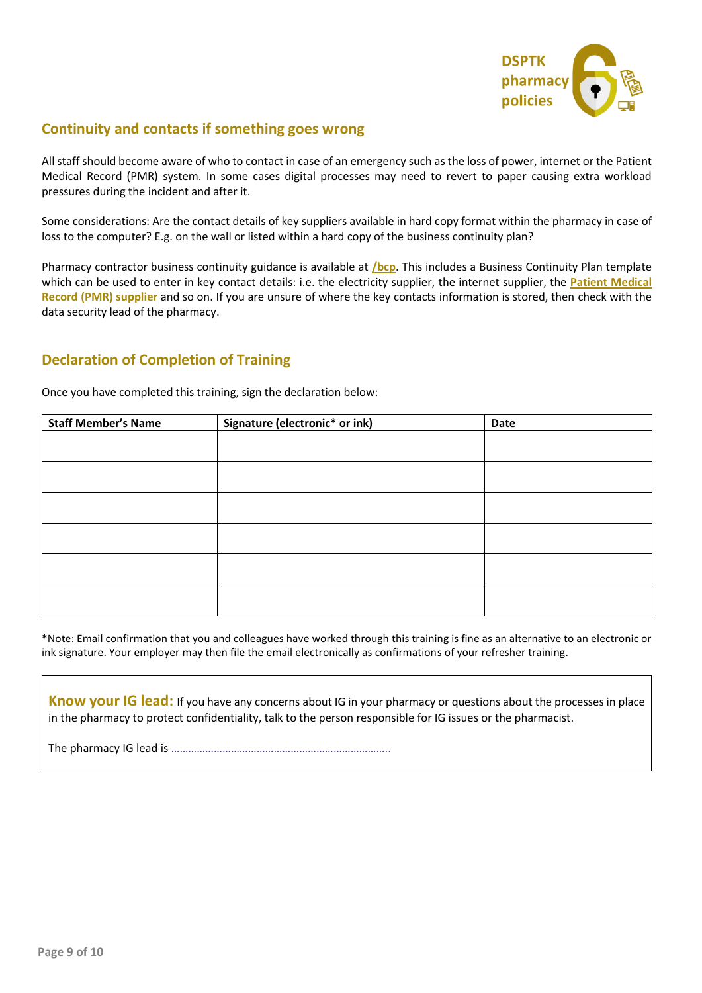

# **Continuity and contacts if something goes wrong**

All staff should become aware of who to contact in case of an emergency such as the loss of power, internet or the Patient Medical Record (PMR) system. In some cases digital processes may need to revert to paper causing extra workload pressures during the incident and after it.

Some considerations: Are the contact details of key suppliers available in hard copy format within the pharmacy in case of loss to the computer? E.g. on the wall or listed within a hard copy of the business continuity plan?

Pharmacy contractor business continuity guidance is available at **[/bcp](http://www.psnc.org.uk/bcp)**. This includes a Business Continuity Plan template which can be used to enter in key contact details: i.e. the electricity supplier, the internet supplier, the **[Patient Medical](https://psnc.org.uk/supplierlist)  [Record \(PMR\) supplier](https://psnc.org.uk/supplierlist)** and so on. If you are unsure of where the key contacts information is stored, then check with the data security lead of the pharmacy.

# **Declaration of Completion of Training**

Once you have completed this training, sign the declaration below:

| <b>Staff Member's Name</b> | Signature (electronic* or ink) | Date |
|----------------------------|--------------------------------|------|
|                            |                                |      |
|                            |                                |      |
|                            |                                |      |
|                            |                                |      |
|                            |                                |      |
|                            |                                |      |
|                            |                                |      |
|                            |                                |      |
|                            |                                |      |
|                            |                                |      |
|                            |                                |      |

\*Note: Email confirmation that you and colleagues have worked through this training is fine as an alternative to an electronic or ink signature. Your employer may then file the email electronically as confirmations of your refresher training.

**Know your IG lead:** If you have any concerns about IG in your pharmacy or questions about the processes in place in the pharmacy to protect confidentiality, talk to the person responsible for IG issues or the pharmacist.

The pharmacy IG lead is …………………………………………………………………..